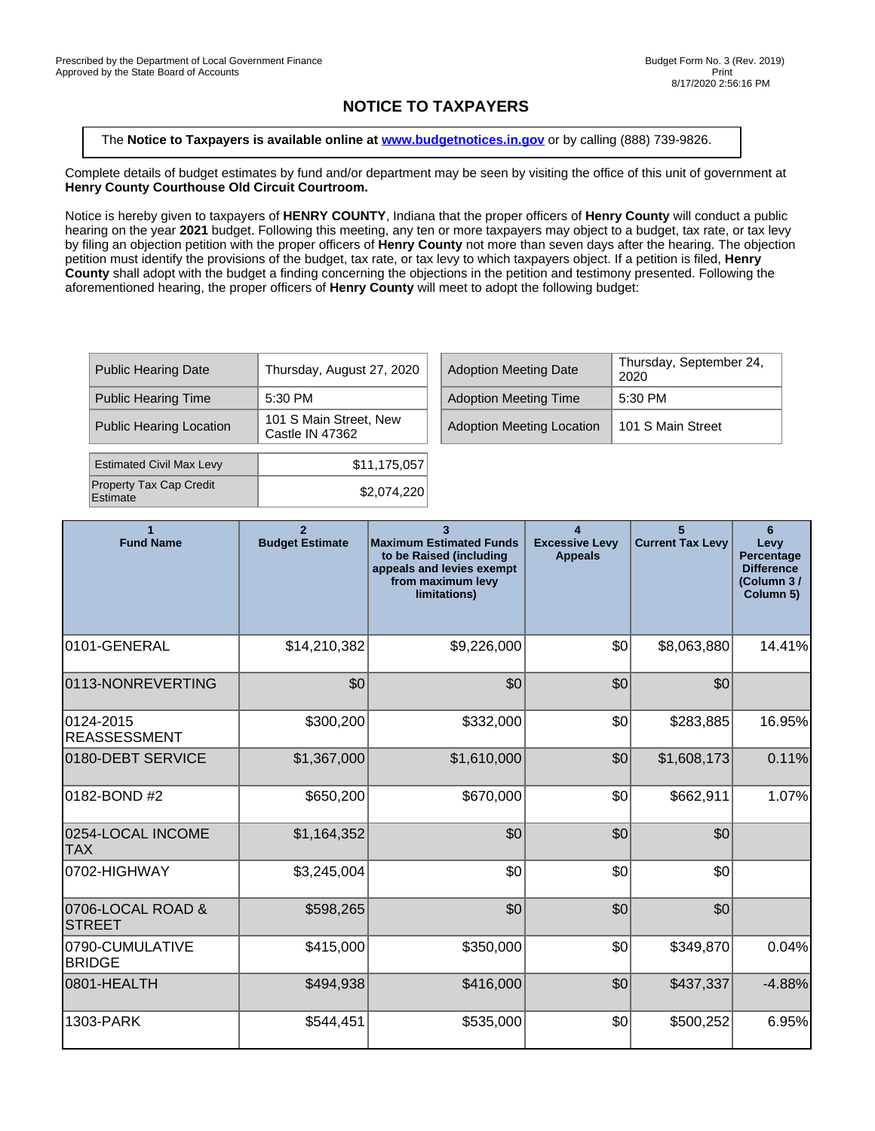## **NOTICE TO TAXPAYERS**

The **Notice to Taxpayers is available online at [www.budgetnotices.in.gov](http://budgetnotices.in.gov/)** or by calling (888) 739-9826.

Complete details of budget estimates by fund and/or department may be seen by visiting the office of this unit of government at **Henry County Courthouse Old Circuit Courtroom.**

Notice is hereby given to taxpayers of **HENRY COUNTY**, Indiana that the proper officers of **Henry County** will conduct a public hearing on the year **2021** budget. Following this meeting, any ten or more taxpayers may object to a budget, tax rate, or tax levy by filing an objection petition with the proper officers of **Henry County** not more than seven days after the hearing. The objection petition must identify the provisions of the budget, tax rate, or tax levy to which taxpayers object. If a petition is filed, **Henry County** shall adopt with the budget a finding concerning the objections in the petition and testimony presented. Following the aforementioned hearing, the proper officers of **Henry County** will meet to adopt the following budget:

| <b>Public Hearing Date</b>                 | Thursday, August 27, 2020                 |  | <b>Adoption Meeting Date</b>     | Thursday, September 24,<br>2020 |  |
|--------------------------------------------|-------------------------------------------|--|----------------------------------|---------------------------------|--|
| <b>Public Hearing Time</b>                 | 5:30 PM                                   |  | <b>Adoption Meeting Time</b>     | $5:30$ PM                       |  |
| <b>Public Hearing Location</b>             | 101 S Main Street, New<br>Castle IN 47362 |  | <b>Adoption Meeting Location</b> | 101 S Main Street               |  |
| <b>Estimated Civil Max Levy</b>            | \$11,175,057                              |  |                                  |                                 |  |
|                                            |                                           |  |                                  |                                 |  |
| <b>Property Tax Cap Credit</b><br>Estimate | \$2,074,220                               |  |                                  |                                 |  |

| <b>Fund Name</b>                   | $\overline{2}$<br><b>Budget Estimate</b> | 3<br><b>Maximum Estimated Funds</b><br>to be Raised (including<br>appeals and levies exempt<br>from maximum levy<br>limitations) | 4<br><b>Excessive Levy</b><br><b>Appeals</b> | 5<br><b>Current Tax Levy</b> | 6<br>Levy<br>Percentage<br><b>Difference</b><br>(Column 3/<br>Column 5) |
|------------------------------------|------------------------------------------|----------------------------------------------------------------------------------------------------------------------------------|----------------------------------------------|------------------------------|-------------------------------------------------------------------------|
| 0101-GENERAL                       | \$14,210,382                             | \$9,226,000                                                                                                                      | \$0                                          | \$8,063,880                  | 14.41%                                                                  |
| 0113-NONREVERTING                  | \$0                                      | \$0                                                                                                                              | \$0                                          | \$0                          |                                                                         |
| 0124-2015<br><b>REASSESSMENT</b>   | \$300,200                                | \$332,000                                                                                                                        | \$0                                          | \$283,885                    | 16.95%                                                                  |
| 0180-DEBT SERVICE                  | \$1,367,000                              | \$1,610,000                                                                                                                      | \$0                                          | \$1,608,173                  | 0.11%                                                                   |
| 0182-BOND #2                       | \$650,200                                | \$670,000                                                                                                                        | \$0                                          | \$662,911                    | 1.07%                                                                   |
| 0254-LOCAL INCOME<br><b>TAX</b>    | \$1,164,352                              | \$0                                                                                                                              | \$0                                          | \$0                          |                                                                         |
| 0702-HIGHWAY                       | \$3,245,004                              | \$0                                                                                                                              | \$0                                          | \$0                          |                                                                         |
| 0706-LOCAL ROAD &<br><b>STREET</b> | \$598,265                                | \$0                                                                                                                              | \$0                                          | \$0                          |                                                                         |
| 0790-CUMULATIVE<br><b>BRIDGE</b>   | \$415,000                                | \$350,000                                                                                                                        | \$0                                          | \$349,870                    | 0.04%                                                                   |
| 0801-HEALTH                        | \$494,938                                | \$416,000                                                                                                                        | \$0                                          | \$437,337                    | $-4.88%$                                                                |
| 1303-PARK                          | \$544,451                                | \$535,000                                                                                                                        | \$0                                          | \$500,252                    | 6.95%                                                                   |